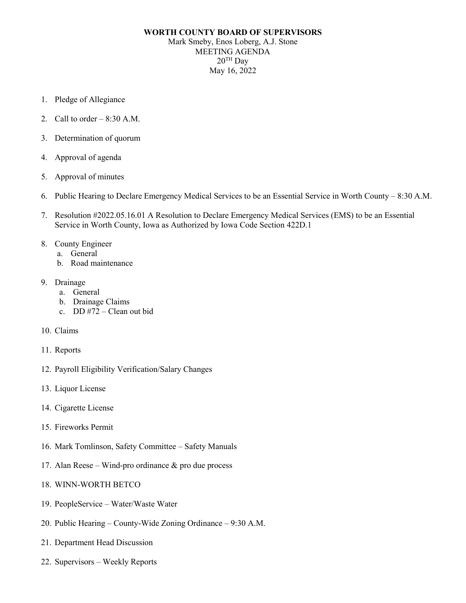## **WORTH COUNTY BOARD OF SUPERVISORS** Mark Smeby, Enos Loberg, A.J. Stone MEETING AGENDA  $20^{\text{TH}}$  Day May 16, 2022

- 1. Pledge of Allegiance
- 2. Call to order  $-8:30$  A.M.
- 3. Determination of quorum
- 4. Approval of agenda
- 5. Approval of minutes
- 6. Public Hearing to Declare Emergency Medical Services to be an Essential Service in Worth County 8:30 A.M.
- 7. Resolution #2022.05.16.01 A Resolution to Declare Emergency Medical Services (EMS) to be an Essential Service in Worth County, Iowa as Authorized by Iowa Code Section 422D.1

## 8. County Engineer

- a. General
- b. Road maintenance
- 9. Drainage
	- a. General
	- b. Drainage Claims
	- c. DD #72 Clean out bid
- 10. Claims
- 11. Reports
- 12. Payroll Eligibility Verification/Salary Changes
- 13. Liquor License
- 14. Cigarette License
- 15. Fireworks Permit
- 16. Mark Tomlinson, Safety Committee Safety Manuals
- 17. Alan Reese Wind-pro ordinance & pro due process
- 18. WINN-WORTH BETCO
- 19. PeopleService Water/Waste Water
- 20. Public Hearing County-Wide Zoning Ordinance 9:30 A.M.
- 21. Department Head Discussion
- 22. Supervisors Weekly Reports